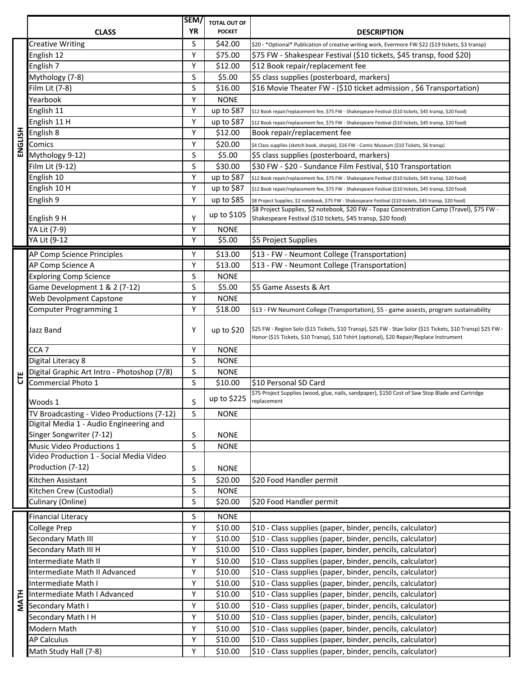|             | <b>CLASS</b>                                                         | SEM/<br>ΥR | <b>TOTAL OUT OF</b><br><b>POCKET</b> | <b>DESCRIPTION</b>                                                                                                                                                                                                 |
|-------------|----------------------------------------------------------------------|------------|--------------------------------------|--------------------------------------------------------------------------------------------------------------------------------------------------------------------------------------------------------------------|
|             | <b>Creative Writing</b>                                              | S          | \$42.00                              |                                                                                                                                                                                                                    |
|             |                                                                      | Y          | \$75.00                              | \$20 - * Optional* Publication of creative writing work, Evermore FW \$22 (\$19 tickets, \$3 transp)<br>\$75 FW - Shakespear Festival (\$10 tickets, \$45 transp, food \$20)                                       |
|             | English 12<br>English 7                                              | Y          | \$12.00                              | \$12 Book repair/replacement fee                                                                                                                                                                                   |
|             | Mythology (7-8)                                                      | S          | \$5.00                               | \$5 class supplies (posterboard, markers)                                                                                                                                                                          |
|             | Film Lit (7-8)                                                       | S          | \$16.00                              | \$16 Movie Theater FW - (\$10 ticket admission, \$6 Transportation)                                                                                                                                                |
|             | Yearbook                                                             | Υ          | <b>NONE</b>                          |                                                                                                                                                                                                                    |
|             | English 11                                                           | Y          | up to \$87                           |                                                                                                                                                                                                                    |
|             | English 11 H                                                         | Υ          | up to \$87                           | \$12 Book repair/replacement fee, \$75 FW - Shakespeare Festival (\$10 tickets, \$45 transp, \$20 food)<br>\$12 Book repair/replacement fee, \$75 FW - Shakespeare Festival (\$10 tickets, \$45 transp, \$20 food) |
|             | English 8                                                            | Υ          | \$12.00                              | Book repair/replacement fee                                                                                                                                                                                        |
| ENGLISH     | Comics                                                               | Υ          | \$20.00                              | \$4 Class supplies (sketch book, sharpie), \$16 FW - Comic Museum (\$10 Tickets, \$6 transp)                                                                                                                       |
|             | Mythology 9-12)                                                      | S          | \$5.00                               | \$5 class supplies (posterboard, markers)                                                                                                                                                                          |
|             | Film Lit (9-12)                                                      | S          | \$30.00                              | \$30 FW - \$20 - Sundance Film Festival, \$10 Transportation                                                                                                                                                       |
|             | English 10                                                           | Y          | up to \$87                           | \$12 Book repair/replacement fee, \$75 FW - Shakespeare Festival (\$10 tickets, \$45 transp, \$20 food)                                                                                                            |
|             | English 10 H                                                         | Y          | up to \$87                           | \$12 Book repair/replacement fee, \$75 FW - Shakespeare Festival (\$10 tickets, \$45 transp, \$20 food)                                                                                                            |
|             | English 9                                                            | Υ          | up to \$85                           | \$8 Project Supplies, \$2 notebook, \$75 FW - Shakespeare Festival (\$10 tickets, \$45 transp, \$20 food)                                                                                                          |
|             | English 9 H                                                          | Υ          | up to \$105                          | \$8 Project Supplies, \$2 notebook, \$20 FW - Topaz Concentration Camp (Travel), \$75 FW -<br>Shakespeare Festival (\$10 tickets, \$45 transp, \$20 food)                                                          |
|             | YA Lit (7-9)                                                         | Y          | <b>NONE</b>                          |                                                                                                                                                                                                                    |
|             | YA Lit (9-12                                                         | Υ          | \$5.00                               | \$5 Project Supplies                                                                                                                                                                                               |
|             | AP Comp Science Principles                                           | Y          | \$13.00                              | \$13 - FW - Neumont College (Transportation)                                                                                                                                                                       |
|             | AP Comp Science A                                                    | Y          | \$13.00                              | \$13 - FW - Neumont College (Transportation)                                                                                                                                                                       |
|             | <b>Exploring Comp Science</b>                                        | S          | <b>NONE</b>                          |                                                                                                                                                                                                                    |
|             | Game Development 1 & 2 (7-12)                                        | S          | \$5.00                               | \$5 Game Assests & Art                                                                                                                                                                                             |
|             | Web Devolpment Capstone                                              | Y          | <b>NONE</b>                          |                                                                                                                                                                                                                    |
|             | Computer Programming 1                                               | Y          | \$18.00                              | \$13 - FW Neumont College (Transportation), \$5 - game assests, program sustainability                                                                                                                             |
|             | Jazz Band                                                            | Υ          | up to $$20$                          | \$25 FW - Region Solo (\$15 Tickets, \$10 Transp), \$25 FW - Stae Solor (\$15 Tickets, \$10 Transp) \$25 FW -<br>Honor (\$15 Tickets, \$10 Transp), \$10 Tshirt (optional), \$20 Repair/Replace Instrument         |
|             | CCA <sub>7</sub>                                                     | Υ          | <b>NONE</b>                          |                                                                                                                                                                                                                    |
|             | Digital Literacy 8                                                   | S          | <b>NONE</b>                          |                                                                                                                                                                                                                    |
| Ĕ           | Digital Graphic Art Intro - Photoshop (7/8)                          | S          | <b>NONE</b>                          |                                                                                                                                                                                                                    |
|             | Commercial Photo 1                                                   | $\sf S$    | \$10.00                              | S10 Personal SD Card                                                                                                                                                                                               |
|             | Woods 1                                                              | S          | up to \$225                          | \$75 Project Supplies (wood, glue, nails, sandpaper), \$150 Cost of Saw Stop Blade and Cartridge<br>replacement                                                                                                    |
|             | TV Broadcasting - Video Productions (7-12)                           | S          | <b>NONE</b>                          |                                                                                                                                                                                                                    |
|             | Digital Media 1 - Audio Engineering and                              |            |                                      |                                                                                                                                                                                                                    |
|             | Singer Songwriter (7-12)                                             | S          | <b>NONE</b>                          |                                                                                                                                                                                                                    |
|             | Music Video Productions 1<br>Video Production 1 - Social Media Video | S          | <b>NONE</b>                          |                                                                                                                                                                                                                    |
|             | Production (7-12)                                                    | S          | <b>NONE</b>                          |                                                                                                                                                                                                                    |
|             | Kitchen Assistant                                                    | S          | \$20.00                              | \$20 Food Handler permit                                                                                                                                                                                           |
|             | Kitchen Crew (Custodial)                                             | S          | <b>NONE</b>                          |                                                                                                                                                                                                                    |
|             | Culinary (Online)                                                    | S          | \$20.00                              | \$20 Food Handler permit                                                                                                                                                                                           |
|             |                                                                      |            |                                      |                                                                                                                                                                                                                    |
|             | <b>Financial Literacy</b><br><b>College Prep</b>                     | S<br>Υ     | <b>NONE</b><br>\$10.00               | \$10 - Class supplies (paper, binder, pencils, calculator)                                                                                                                                                         |
|             | Secondary Math III                                                   | Υ          | \$10.00                              | \$10 - Class supplies (paper, binder, pencils, calculator)                                                                                                                                                         |
|             | Secondary Math III H                                                 | Υ          | \$10.00                              | \$10 - Class supplies (paper, binder, pencils, calculator)                                                                                                                                                         |
|             | Intermediate Math II                                                 | Y          | \$10.00                              | \$10 - Class supplies (paper, binder, pencils, calculator)                                                                                                                                                         |
|             | Intermediate Math II Advanced                                        | Y          | \$10.00                              | \$10 - Class supplies (paper, binder, pencils, calculator)                                                                                                                                                         |
|             | Intermediate Math I                                                  | Υ          | \$10.00                              | \$10 - Class supplies (paper, binder, pencils, calculator)                                                                                                                                                         |
|             | Intermediate Math I Advanced                                         | Υ          | \$10.00                              | \$10 - Class supplies (paper, binder, pencils, calculator)                                                                                                                                                         |
| <b>MATH</b> | Secondary Math I                                                     | Υ          | \$10.00                              | \$10 - Class supplies (paper, binder, pencils, calculator)                                                                                                                                                         |
|             | Secondary Math I H                                                   | Υ          | \$10.00                              | \$10 - Class supplies (paper, binder, pencils, calculator)                                                                                                                                                         |
|             | Modern Math                                                          | Υ          | \$10.00                              | \$10 - Class supplies (paper, binder, pencils, calculator)                                                                                                                                                         |
|             | <b>AP Calculus</b>                                                   | Υ          | \$10.00                              | \$10 - Class supplies (paper, binder, pencils, calculator)                                                                                                                                                         |
|             | Math Study Hall (7-8)                                                | Υ          | \$10.00                              | \$10 - Class supplies (paper, binder, pencils, calculator)                                                                                                                                                         |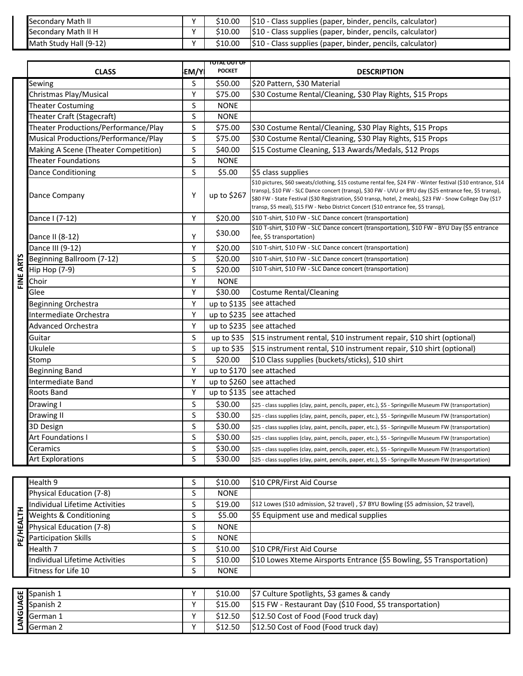| Secondary Math II      | $\ddot{\phantom{0}}$ | \$10.00 | \$10 - Class supplies (paper, binder, pencils, calculator) |
|------------------------|----------------------|---------|------------------------------------------------------------|
| Secondary Math II H    | $\cdot$              | \$10.00 | S10 - Class supplies (paper, binder, pencils, calculator)  |
| Math Study Hall (9-12) | $\cdot$              | \$10.00 | \$10 - Class supplies (paper, binder, pencils, calculator) |

|           | Secondary Math II                    | Υ              | \$10.00                       | \$10 - Class supplies (paper, binder, pencils, calculator)                                                                                                                                                                                                                                                                                                                                                                     |
|-----------|--------------------------------------|----------------|-------------------------------|--------------------------------------------------------------------------------------------------------------------------------------------------------------------------------------------------------------------------------------------------------------------------------------------------------------------------------------------------------------------------------------------------------------------------------|
|           | Secondary Math II H                  | $\overline{Y}$ | \$10.00                       | \$10 - Class supplies (paper, binder, pencils, calculator)                                                                                                                                                                                                                                                                                                                                                                     |
|           | Math Study Hall (9-12)               | Y              | \$10.00                       | \$10 - Class supplies (paper, binder, pencils, calculator)                                                                                                                                                                                                                                                                                                                                                                     |
|           |                                      |                |                               |                                                                                                                                                                                                                                                                                                                                                                                                                                |
|           | <b>CLASS</b>                         | EM/Y           | TOTAL OUT OF<br><b>POCKET</b> | <b>DESCRIPTION</b>                                                                                                                                                                                                                                                                                                                                                                                                             |
|           | Sewing                               | S              | \$50.00                       | \$20 Pattern, \$30 Material                                                                                                                                                                                                                                                                                                                                                                                                    |
|           | Christmas Play/Musical               | Υ              | \$75.00                       | \$30 Costume Rental/Cleaning, \$30 Play Rights, \$15 Props                                                                                                                                                                                                                                                                                                                                                                     |
|           | <b>Theater Costuming</b>             | S              | <b>NONE</b>                   |                                                                                                                                                                                                                                                                                                                                                                                                                                |
|           | Theater Craft (Stagecraft)           | S              | <b>NONE</b>                   |                                                                                                                                                                                                                                                                                                                                                                                                                                |
|           | Theater Productions/Performance/Play | S              | \$75.00                       | \$30 Costume Rental/Cleaning, \$30 Play Rights, \$15 Props                                                                                                                                                                                                                                                                                                                                                                     |
|           | Musical Productions/Performance/Play | S              | \$75.00                       | \$30 Costume Rental/Cleaning, \$30 Play Rights, \$15 Props                                                                                                                                                                                                                                                                                                                                                                     |
|           | Making A Scene (Theater Competition) | $\sf S$        | \$40.00                       | \$15 Costume Cleaning, \$13 Awards/Medals, \$12 Props                                                                                                                                                                                                                                                                                                                                                                          |
|           | <b>Theater Foundations</b>           | S              | <b>NONE</b>                   |                                                                                                                                                                                                                                                                                                                                                                                                                                |
|           | <b>Dance Conditioning</b>            | S              | \$5.00                        | \$5 class supplies                                                                                                                                                                                                                                                                                                                                                                                                             |
|           | Dance Company                        | Υ              | up to \$267                   | \$10 pictures, \$60 sweats/clothing, \$15 costume rental fee, \$24 FW - Winter festival (\$10 entrance, \$14<br>transp), \$10 FW - SLC Dance concert (transp), \$30 FW - UVU or BYU day (\$25 entrance fee, \$5 transp),<br>\$80 FW - State Festival (\$30 Registration, \$50 transp, hotel, 2 meals), \$23 FW - Snow College Day (\$17<br>transp, \$5 meal), \$15 FW - Nebo District Concert (\$10 entrance fee, \$5 transp), |
|           | Dance I (7-12)                       | Υ              | \$20.00                       | \$10 T-shirt, \$10 FW - SLC Dance concert (transportation)                                                                                                                                                                                                                                                                                                                                                                     |
|           |                                      |                |                               | \$10 T-shirt, \$10 FW - SLC Dance concert (transportation), \$10 FW - BYU Day (\$5 entrance                                                                                                                                                                                                                                                                                                                                    |
|           | Dance II (8-12)                      | Y              | \$30.00                       | fee, \$5 transportation)                                                                                                                                                                                                                                                                                                                                                                                                       |
|           | Dance III (9-12)                     | Y              | \$20.00                       | \$10 T-shirt, \$10 FW - SLC Dance concert (transportation)                                                                                                                                                                                                                                                                                                                                                                     |
| FINE ARTS | Beginning Ballroom (7-12)            | S              | \$20.00                       | \$10 T-shirt, \$10 FW - SLC Dance concert (transportation)                                                                                                                                                                                                                                                                                                                                                                     |
|           | <b>Hip Hop (7-9)</b>                 | S              | \$20.00                       | \$10 T-shirt, \$10 FW - SLC Dance concert (transportation)                                                                                                                                                                                                                                                                                                                                                                     |
|           | Choir                                | Υ              | <b>NONE</b>                   |                                                                                                                                                                                                                                                                                                                                                                                                                                |
|           | Glee                                 | Y              | \$30.00                       | <b>Costume Rental/Cleaning</b>                                                                                                                                                                                                                                                                                                                                                                                                 |
|           | <b>Beginning Orchestra</b>           | Υ              | up to \$135                   | see attached                                                                                                                                                                                                                                                                                                                                                                                                                   |
|           | Intermediate Orchestra               | Υ              |                               | up to \$235 see attached                                                                                                                                                                                                                                                                                                                                                                                                       |
|           | <b>Advanced Orchestra</b>            | Y              |                               | up to \$235 see attached                                                                                                                                                                                                                                                                                                                                                                                                       |
|           | Guitar                               | S              | up to $$35$                   | \$15 instrument rental, \$10 instrument repair, \$10 shirt (optional)                                                                                                                                                                                                                                                                                                                                                          |
|           | Ukulele                              | S              | up to $$35$                   | \$15 instrument rental, \$10 instrument repair, \$10 shirt (optional)                                                                                                                                                                                                                                                                                                                                                          |
|           | Stomp                                | S              | \$20.00                       | \$10 Class supplies (buckets/sticks), \$10 shirt                                                                                                                                                                                                                                                                                                                                                                               |
|           | <b>Beginning Band</b>                | Υ              | up to \$170                   | see attached                                                                                                                                                                                                                                                                                                                                                                                                                   |
|           | Intermediate Band                    | Υ              | up to \$260                   | see attached                                                                                                                                                                                                                                                                                                                                                                                                                   |
|           | Roots Band                           | Y              | up to \$135                   | see attached                                                                                                                                                                                                                                                                                                                                                                                                                   |
|           | Drawing I                            | S              | \$30.00                       | \$25 - class supplies (clay, paint, pencils, paper, etc.), \$5 - Springville Museum FW (transportation)                                                                                                                                                                                                                                                                                                                        |
|           | Drawing II                           | S              | \$30.00                       | \$25 - class supplies (clay, paint, pencils, paper, etc.), \$5 - Springville Museum FW (transportation)                                                                                                                                                                                                                                                                                                                        |
|           | 3D Design                            | S              | \$30.00                       | \$25 - class supplies (clay, paint, pencils, paper, etc.), \$5 - Springville Museum FW (transportation)                                                                                                                                                                                                                                                                                                                        |
|           | Art Foundations I                    | S              | \$30.00                       | \$25 - class supplies (clay, paint, pencils, paper, etc.), \$5 - Springville Museum FW (transportation)                                                                                                                                                                                                                                                                                                                        |
|           | Ceramics                             | S              | \$30.00                       | \$25 - class supplies (clay, paint, pencils, paper, etc.), \$5 - Springville Museum FW (transportation)                                                                                                                                                                                                                                                                                                                        |
|           | <b>Art Explorations</b>              | S              | \$30.00                       | \$25 - class supplies (clay, paint, pencils, paper, etc.), \$5 - Springville Museum FW (transportation)                                                                                                                                                                                                                                                                                                                        |

|           | Health 9                          | \$10.00     | \$10 CPR/First Aid Course                                                             |
|-----------|-----------------------------------|-------------|---------------------------------------------------------------------------------------|
|           | Physical Education (7-8)          | <b>NONE</b> |                                                                                       |
|           | Individual Lifetime Activities    | \$19.00     | \$12 Lowes (\$10 admission, \$2 travel), \$7 BYU Bowling (\$5 admission, \$2 travel), |
|           | <b>Weights &amp; Conditioning</b> | \$5.00      | \$5 Equipment use and medical supplies                                                |
|           | Physical Education (7-8)          | <b>NONE</b> |                                                                                       |
| ۱۳ ه<br>ᇍ | articipation Skills               | <b>NONE</b> |                                                                                       |
|           | Health 7                          | \$10.00     | \$10 CPR/First Aid Course                                                             |
|           | Individual Lifetime Activities    | \$10.00     | \$10 Lowes Xteme Airsports Entrance (\$5 Bowling, \$5 Transportation)                 |
|           | Fitness for Life 10               | <b>NONE</b> |                                                                                       |

| B Spanish 1             | $\lambda$ | \$10.00 | S7 Culture Spotlights, \$3 games & candy                 |
|-------------------------|-----------|---------|----------------------------------------------------------|
| $\leq$ Spanish 2        | $\lambda$ | \$15.00 | \$15 FW - Restaurant Day (\$10 Food, \$5 transportation) |
| $\overline{9}$ German 1 |           | \$12.50 | $\vert$ \$12.50 Cost of Food (Food truck day)            |
| $\leq$ German 2         | $\lambda$ | \$12.50 | S12.50 Cost of Food (Food truck day)                     |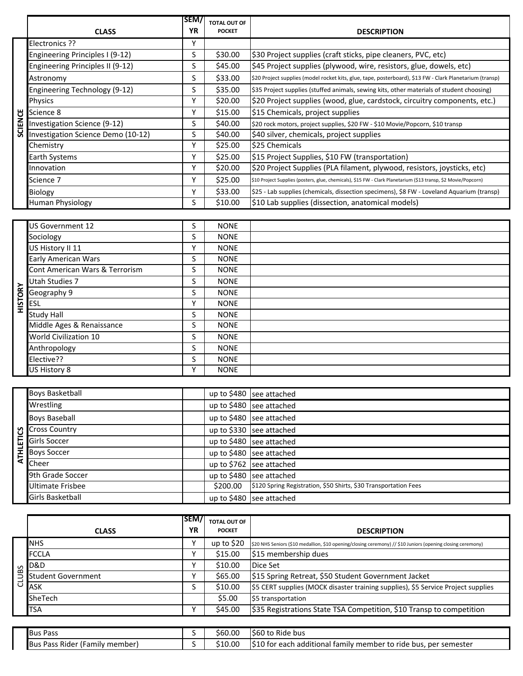|                | <b>CLASS</b>                       | SEM/<br><b>YR</b> | <b>TOTAL OUT OF</b><br><b>POCKET</b> | <b>DESCRIPTION</b>                                                                                             |
|----------------|------------------------------------|-------------------|--------------------------------------|----------------------------------------------------------------------------------------------------------------|
|                | Electronics ??                     | Υ                 |                                      |                                                                                                                |
|                |                                    |                   |                                      |                                                                                                                |
|                | Engineering Principles I (9-12)    | S                 | \$30.00                              | \$30 Project supplies (craft sticks, pipe cleaners, PVC, etc)                                                  |
|                | Engineering Principles II (9-12)   | S                 | \$45.00                              | \$45 Project supplies (plywood, wire, resistors, glue, dowels, etc)                                            |
|                | Astronomy                          | S                 | \$33.00                              | \$20 Project supplies (model rocket kits, glue, tape, posterboard), \$13 FW - Clark Planetarium (transp)       |
|                | Engineering Technology (9-12)      | S                 | \$35.00                              | \$35 Project supplies (stuffed animals, sewing kits, other materials of student choosing)                      |
|                | Physics                            | Υ                 | \$20.00                              | \$20 Project supplies (wood, glue, cardstock, circuitry components, etc.)                                      |
|                | Science 8                          | γ                 | \$15.00                              | \$15 Chemicals, project supplies                                                                               |
| <b>SCIENCE</b> | Investigation Science (9-12)       | S                 | \$40.00                              | \$20 rock motors, project supplies, \$20 FW - \$10 Movie/Popcorn, \$10 transp                                  |
|                | Investigation Science Demo (10-12) | S                 | \$40.00                              | \$40 silver, chemicals, project supplies                                                                       |
|                | Chemistry                          | Υ                 | \$25.00                              | \$25 Chemicals                                                                                                 |
|                | Earth Systems                      | Υ                 | \$25.00                              | \$15 Project Supplies, \$10 FW (transportation)                                                                |
|                | Innovation                         | Y                 | \$20.00                              | \$20 Project Supplies (PLA filament, plywood, resistors, joysticks, etc)                                       |
|                | Science 7                          | Υ                 | \$25.00                              | \$10 Project Supplies (posters, glue, chemicals), \$15 FW - Clark Planetarium (\$13 transp, \$2 Movie/Popcorn) |
|                | Biology                            | Υ                 | \$33.00                              | \$25 - Lab supplies (chemicals, dissection specimens), \$8 FW - Loveland Aquarium (transp)                     |
|                | Human Physiology                   | S                 | \$10.00                              | \$10 Lab supplies (dissection, anatomical models)                                                              |

|                  | Science 8                          | Y         | \$15.00             | \$15 Chemicals, project supplies                                                                               |
|------------------|------------------------------------|-----------|---------------------|----------------------------------------------------------------------------------------------------------------|
| <b>SCIENCE</b>   | Investigation Science (9-12)       | S         | \$40.00             | \$20 rock motors, project supplies, \$20 FW - \$10 Movie/Popcorn, \$10 transp                                  |
|                  | Investigation Science Demo (10-12) | S         | \$40.00             | \$40 silver, chemicals, project supplies                                                                       |
|                  | Chemistry                          | Υ         | \$25.00             | \$25 Chemicals                                                                                                 |
|                  | Earth Systems                      | Y         | \$25.00             | \$15 Project Supplies, \$10 FW (transportation)                                                                |
|                  | Innovation                         | Υ         | \$20.00             | \$20 Project Supplies (PLA filament, plywood, resistors, joysticks, etc)                                       |
|                  | Science 7                          | Υ         | \$25.00             | \$10 Project Supplies (posters, glue, chemicals), \$15 FW - Clark Planetarium (\$13 transp, \$2 Movie/Popcorn) |
|                  | Biology                            | Υ         | \$33.00             | \$25 - Lab supplies (chemicals, dissection specimens), \$8 FW - Loveland Aquarium (transp)                     |
|                  | Human Physiology                   | S         | \$10.00             | \$10 Lab supplies (dissection, anatomical models)                                                              |
|                  |                                    |           |                     |                                                                                                                |
|                  | US Government 12                   | S         | <b>NONE</b>         |                                                                                                                |
|                  | Sociology                          | $\sf S$   | <b>NONE</b>         |                                                                                                                |
|                  | US History II 11                   | Υ         | <b>NONE</b>         |                                                                                                                |
|                  | <b>Early American Wars</b>         | S         | <b>NONE</b>         |                                                                                                                |
|                  | Cont American Wars & Terrorism     | S         | <b>NONE</b>         |                                                                                                                |
|                  | <b>Utah Studies 7</b>              | S         | <b>NONE</b>         |                                                                                                                |
| <b>HISTORY</b>   | Geography 9                        | S         | <b>NONE</b>         |                                                                                                                |
|                  | <b>ESL</b>                         | Y         | <b>NONE</b>         |                                                                                                                |
|                  | <b>Study Hall</b>                  | S         | <b>NONE</b>         |                                                                                                                |
|                  | Middle Ages & Renaissance          | S         | <b>NONE</b>         |                                                                                                                |
|                  | World Civilization 10              | S         | <b>NONE</b>         |                                                                                                                |
|                  | Anthropology                       | S         | <b>NONE</b>         |                                                                                                                |
|                  | Elective??                         | S         | <b>NONE</b>         |                                                                                                                |
|                  | US History 8                       | Y         | <b>NONE</b>         |                                                                                                                |
|                  |                                    |           |                     |                                                                                                                |
|                  | <b>Boys Basketball</b>             |           | up to \$480         | see attached                                                                                                   |
|                  | Wrestling                          |           |                     | up to \$480 see attached                                                                                       |
|                  | <b>Boys Baseball</b>               |           |                     | up to \$480 see attached                                                                                       |
|                  | <b>Cross Country</b>               |           |                     | up to \$330 see attached                                                                                       |
| <b>ATHLETICS</b> | Girls Soccer                       |           |                     | up to \$480 see attached                                                                                       |
|                  | <b>Boys Soccer</b>                 |           |                     | up to \$480 see attached                                                                                       |
|                  | Cheer                              |           |                     | up to \$762 see attached                                                                                       |
|                  | 9th Grade Soccer                   |           |                     | up to \$480 see attached                                                                                       |
|                  | <b>Ultimate Frisbee</b>            |           | \$200.00            | \$120 Spring Registration, \$50 Shirts, \$30 Transportation Fees                                               |
|                  | Girls Basketball                   |           |                     | up to \$480 see attached                                                                                       |
|                  |                                    |           |                     |                                                                                                                |
|                  |                                    | SEM       | <b>TOTAL OUT OF</b> |                                                                                                                |
|                  | <b>CLASS</b>                       | <b>YR</b> | <b>POCKET</b>       | <b>DESCRIPTION</b>                                                                                             |
|                  | <b>NHS</b>                         | Y         | up to \$20          | \$20 NHS Seniors (\$10 medallion, \$10 opening/closing ceremony) // \$10 Juniors (opening closing ceremony)    |
|                  | <b>FCCLA</b>                       | Y         | \$15.00             | \$15 membership dues                                                                                           |
|                  | <b>D&amp;D</b>                     | Υ         | \$10.00             | Dice Set                                                                                                       |
| CLUBS            | <b>Student Government</b>          | Υ         | \$65.00             | \$15 Spring Retreat, \$50 Student Government Jacket                                                            |
|                  | ASK                                | S         | \$10.00             | \$5 CERT supplies (MOCK disaster training supplies), \$5 Service Project supplies                              |
|                  | SheTech                            |           | \$5.00              | \$5 transportation                                                                                             |
|                  | <b>TSA</b>                         | Y         | \$45.00             | \$35 Registrations State TSA Competition, \$10 Transp to competition                                           |
|                  |                                    |           |                     |                                                                                                                |
|                  | <b>Bus Pass</b>                    | S         | \$60.00             | \$60 to Ride bus                                                                                               |
|                  |                                    | S         | \$10.00             | \$10 for each additional family member to ride bus, per semester                                               |
|                  |                                    |           |                     |                                                                                                                |
|                  | Bus Pass Rider (Family member)     |           |                     |                                                                                                                |
|                  |                                    |           |                     |                                                                                                                |
|                  |                                    |           |                     |                                                                                                                |
|                  |                                    |           |                     |                                                                                                                |
|                  |                                    |           |                     |                                                                                                                |

| <b>Boys Basketball</b>                          |          | up to $$480$ see attached                                        |
|-------------------------------------------------|----------|------------------------------------------------------------------|
| Wrestling                                       |          | up to $$480$ see attached                                        |
| <b>Boys Baseball</b>                            |          | up to $$480$ see attached                                        |
|                                                 |          | up to $$330$ see attached                                        |
| <b>S</b><br>Girls Soccer<br><b>Girls Soccer</b> |          | up to $$480$ see attached                                        |
| $\frac{1}{5}$ Boys Soccer                       |          | up to $$480$ see attached                                        |
| Cheer                                           |          | up to $$762$ see attached                                        |
| 9th Grade Soccer                                |          | up to \$480 see attached                                         |
| Ultimate Frisbee                                | \$200.00 | \$120 Spring Registration, \$50 Shirts, \$30 Transportation Fees |
| <b>Girls Basketball</b>                         |          | up to \$480 see attached                                         |

|              | <b>CLASS</b>              | lSEM/<br><b>YR</b> | <b>TOTAL OUT OF</b><br><b>POCKET</b> | <b>DESCRIPTION</b>                                                                                          |
|--------------|---------------------------|--------------------|--------------------------------------|-------------------------------------------------------------------------------------------------------------|
|              | <b>NHS</b>                | v                  | up to $$20$                          | \$20 NHS Seniors (\$10 medallion, \$10 opening/closing ceremony) // \$10 Juniors (opening closing ceremony) |
|              | <b>FCCLA</b>              |                    | \$15.00                              | \$15 membership dues                                                                                        |
|              | $\sigma$ D&D              | v                  | \$10.00                              | Dice Set                                                                                                    |
| $\mathbf{a}$ | <b>Student Government</b> | v                  | \$65.00                              | \$15 Spring Retreat, \$50 Student Government Jacket                                                         |
|              | <b>ASK</b>                |                    | \$10.00                              | \$5 CERT supplies (MOCK disaster training supplies), \$5 Service Project supplies                           |
|              | <b>SheTech</b>            |                    | \$5.00                               | \$5 transportation                                                                                          |
|              | <b>TSA</b>                |                    | \$45.00                              | \$35 Registrations State TSA Competition, \$10 Transp to competition                                        |

| <b>Bus Pass</b>                                                                | \$60.00 | Ride bus<br>1000<br>to<br><b>560</b>                                                           |
|--------------------------------------------------------------------------------|---------|------------------------------------------------------------------------------------------------|
| $\overline{\phantom{0}}$<br><b>Bus</b><br>- Rider '<br>(Family member)<br>Pass | \$10.00 | $\overline{1510}$<br>. per semester<br>) for each<br>i additional family member to ride bus, i |